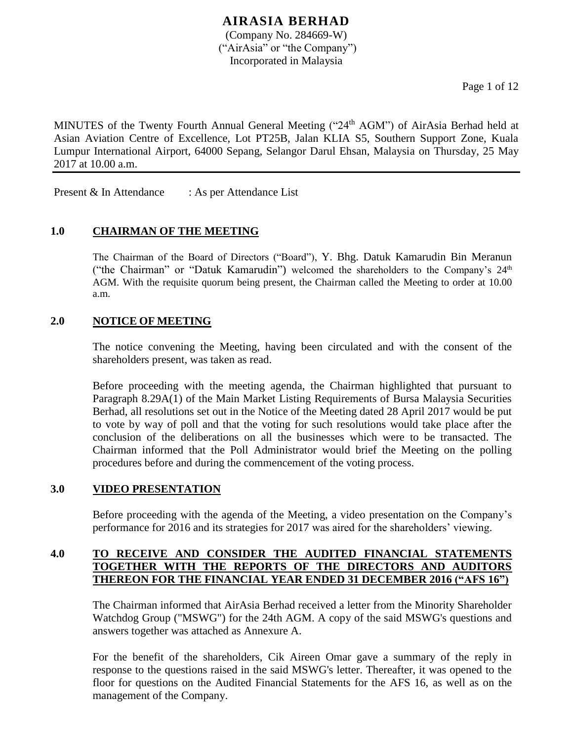Page 1 of 12

MINUTES of the Twenty Fourth Annual General Meeting ("24<sup>th</sup> AGM") of AirAsia Berhad held at Asian Aviation Centre of Excellence, Lot PT25B, Jalan KLIA S5, Southern Support Zone, Kuala Lumpur International Airport, 64000 Sepang, Selangor Darul Ehsan, Malaysia on Thursday, 25 May 2017 at 10.00 a.m.

Present & In Attendance : As per Attendance List

## **1.0 CHAIRMAN OF THE MEETING**

The Chairman of the Board of Directors ("Board"), Y. Bhg. Datuk Kamarudin Bin Meranun ("the Chairman" or "Datuk Kamarudin") welcomed the shareholders to the Company's  $24<sup>th</sup>$ AGM. With the requisite quorum being present, the Chairman called the Meeting to order at 10.00 a.m.

#### **2.0 NOTICE OF MEETING**

The notice convening the Meeting, having been circulated and with the consent of the shareholders present, was taken as read.

Before proceeding with the meeting agenda, the Chairman highlighted that pursuant to Paragraph 8.29A(1) of the Main Market Listing Requirements of Bursa Malaysia Securities Berhad, all resolutions set out in the Notice of the Meeting dated 28 April 2017 would be put to vote by way of poll and that the voting for such resolutions would take place after the conclusion of the deliberations on all the businesses which were to be transacted. The Chairman informed that the Poll Administrator would brief the Meeting on the polling procedures before and during the commencement of the voting process.

## **3.0 VIDEO PRESENTATION**

Before proceeding with the agenda of the Meeting, a video presentation on the Company's performance for 2016 and its strategies for 2017 was aired for the shareholders' viewing.

## **4.0 TO RECEIVE AND CONSIDER THE AUDITED FINANCIAL STATEMENTS TOGETHER WITH THE REPORTS OF THE DIRECTORS AND AUDITORS THEREON FOR THE FINANCIAL YEAR ENDED 31 DECEMBER 2016 ("AFS 16")**

The Chairman informed that AirAsia Berhad received a letter from the Minority Shareholder Watchdog Group ("MSWG") for the 24th AGM. A copy of the said MSWG's questions and answers together was attached as Annexure A.

For the benefit of the shareholders, Cik Aireen Omar gave a summary of the reply in response to the questions raised in the said MSWG's letter. Thereafter, it was opened to the floor for questions on the Audited Financial Statements for the AFS 16, as well as on the management of the Company.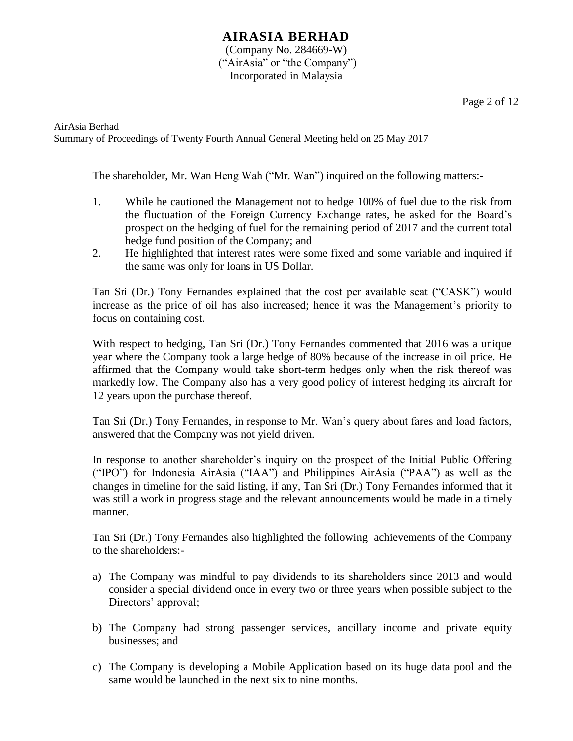AirAsia Berhad Summary of Proceedings of Twenty Fourth Annual General Meeting held on 25 May 2017

The shareholder, Mr. Wan Heng Wah ("Mr. Wan") inquired on the following matters:-

- 1. While he cautioned the Management not to hedge 100% of fuel due to the risk from the fluctuation of the Foreign Currency Exchange rates, he asked for the Board's prospect on the hedging of fuel for the remaining period of 2017 and the current total hedge fund position of the Company; and
- 2. He highlighted that interest rates were some fixed and some variable and inquired if the same was only for loans in US Dollar.

Tan Sri (Dr.) Tony Fernandes explained that the cost per available seat ("CASK") would increase as the price of oil has also increased; hence it was the Management's priority to focus on containing cost.

With respect to hedging, Tan Sri (Dr.) Tony Fernandes commented that 2016 was a unique year where the Company took a large hedge of 80% because of the increase in oil price. He affirmed that the Company would take short-term hedges only when the risk thereof was markedly low. The Company also has a very good policy of interest hedging its aircraft for 12 years upon the purchase thereof.

Tan Sri (Dr.) Tony Fernandes, in response to Mr. Wan's query about fares and load factors, answered that the Company was not yield driven.

In response to another shareholder's inquiry on the prospect of the Initial Public Offering ("IPO") for Indonesia AirAsia ("IAA") and Philippines AirAsia ("PAA") as well as the changes in timeline for the said listing, if any, Tan Sri (Dr.) Tony Fernandes informed that it was still a work in progress stage and the relevant announcements would be made in a timely manner.

Tan Sri (Dr.) Tony Fernandes also highlighted the following achievements of the Company to the shareholders:-

- a) The Company was mindful to pay dividends to its shareholders since 2013 and would consider a special dividend once in every two or three years when possible subject to the Directors' approval;
- b) The Company had strong passenger services, ancillary income and private equity businesses; and
- c) The Company is developing a Mobile Application based on its huge data pool and the same would be launched in the next six to nine months.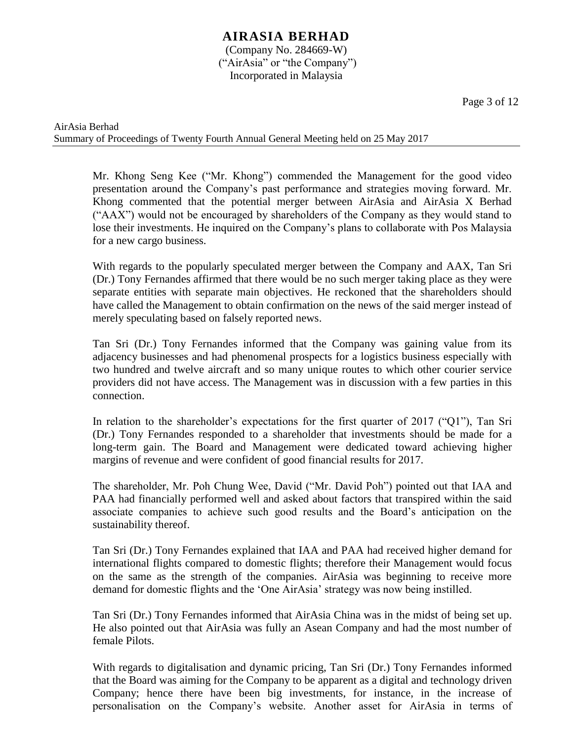Page 3 of 12

Mr. Khong Seng Kee ("Mr. Khong") commended the Management for the good video presentation around the Company's past performance and strategies moving forward. Mr. Khong commented that the potential merger between AirAsia and AirAsia X Berhad ("AAX") would not be encouraged by shareholders of the Company as they would stand to lose their investments. He inquired on the Company's plans to collaborate with Pos Malaysia for a new cargo business.

With regards to the popularly speculated merger between the Company and AAX, Tan Sri (Dr.) Tony Fernandes affirmed that there would be no such merger taking place as they were separate entities with separate main objectives. He reckoned that the shareholders should have called the Management to obtain confirmation on the news of the said merger instead of merely speculating based on falsely reported news.

Tan Sri (Dr.) Tony Fernandes informed that the Company was gaining value from its adjacency businesses and had phenomenal prospects for a logistics business especially with two hundred and twelve aircraft and so many unique routes to which other courier service providers did not have access. The Management was in discussion with a few parties in this connection.

In relation to the shareholder's expectations for the first quarter of 2017 ("Q1"), Tan Sri (Dr.) Tony Fernandes responded to a shareholder that investments should be made for a long-term gain. The Board and Management were dedicated toward achieving higher margins of revenue and were confident of good financial results for 2017.

The shareholder, Mr. Poh Chung Wee, David ("Mr. David Poh") pointed out that IAA and PAA had financially performed well and asked about factors that transpired within the said associate companies to achieve such good results and the Board's anticipation on the sustainability thereof.

Tan Sri (Dr.) Tony Fernandes explained that IAA and PAA had received higher demand for international flights compared to domestic flights; therefore their Management would focus on the same as the strength of the companies. AirAsia was beginning to receive more demand for domestic flights and the 'One AirAsia' strategy was now being instilled.

Tan Sri (Dr.) Tony Fernandes informed that AirAsia China was in the midst of being set up. He also pointed out that AirAsia was fully an Asean Company and had the most number of female Pilots.

With regards to digitalisation and dynamic pricing, Tan Sri (Dr.) Tony Fernandes informed that the Board was aiming for the Company to be apparent as a digital and technology driven Company; hence there have been big investments, for instance, in the increase of personalisation on the Company's website. Another asset for AirAsia in terms of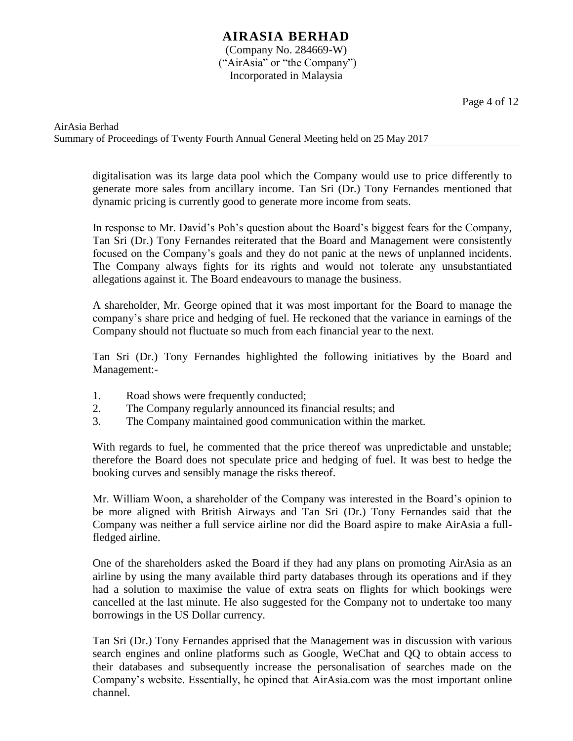Page 4 of 12

digitalisation was its large data pool which the Company would use to price differently to generate more sales from ancillary income. Tan Sri (Dr.) Tony Fernandes mentioned that dynamic pricing is currently good to generate more income from seats.

In response to Mr. David's Poh's question about the Board's biggest fears for the Company, Tan Sri (Dr.) Tony Fernandes reiterated that the Board and Management were consistently focused on the Company's goals and they do not panic at the news of unplanned incidents. The Company always fights for its rights and would not tolerate any unsubstantiated allegations against it. The Board endeavours to manage the business.

A shareholder, Mr. George opined that it was most important for the Board to manage the company's share price and hedging of fuel. He reckoned that the variance in earnings of the Company should not fluctuate so much from each financial year to the next.

Tan Sri (Dr.) Tony Fernandes highlighted the following initiatives by the Board and Management:-

- 1. Road shows were frequently conducted;
- 2. The Company regularly announced its financial results; and
- 3. The Company maintained good communication within the market.

With regards to fuel, he commented that the price thereof was unpredictable and unstable; therefore the Board does not speculate price and hedging of fuel. It was best to hedge the booking curves and sensibly manage the risks thereof.

Mr. William Woon, a shareholder of the Company was interested in the Board's opinion to be more aligned with British Airways and Tan Sri (Dr.) Tony Fernandes said that the Company was neither a full service airline nor did the Board aspire to make AirAsia a fullfledged airline.

One of the shareholders asked the Board if they had any plans on promoting AirAsia as an airline by using the many available third party databases through its operations and if they had a solution to maximise the value of extra seats on flights for which bookings were cancelled at the last minute. He also suggested for the Company not to undertake too many borrowings in the US Dollar currency.

Tan Sri (Dr.) Tony Fernandes apprised that the Management was in discussion with various search engines and online platforms such as Google, WeChat and QQ to obtain access to their databases and subsequently increase the personalisation of searches made on the Company's website. Essentially, he opined that AirAsia.com was the most important online channel.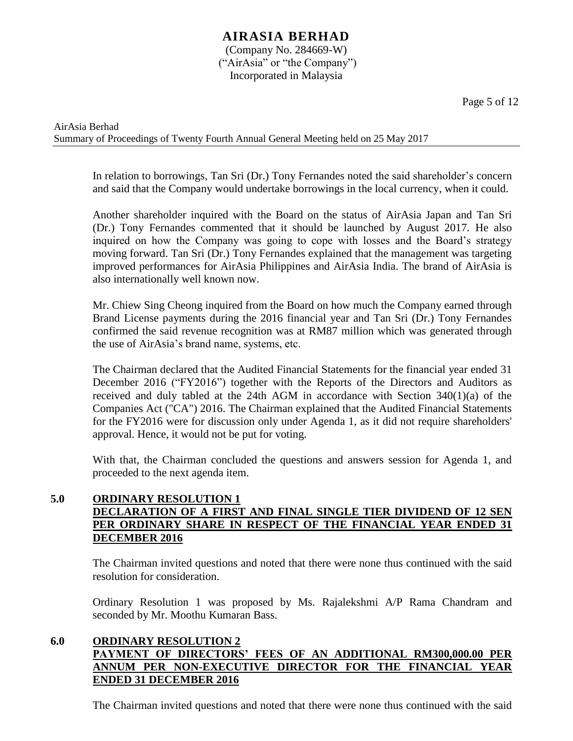Page 5 of 12

AirAsia Berhad Summary of Proceedings of Twenty Fourth Annual General Meeting held on 25 May 2017

> In relation to borrowings, Tan Sri (Dr.) Tony Fernandes noted the said shareholder's concern and said that the Company would undertake borrowings in the local currency, when it could.

> Another shareholder inquired with the Board on the status of AirAsia Japan and Tan Sri (Dr.) Tony Fernandes commented that it should be launched by August 2017. He also inquired on how the Company was going to cope with losses and the Board's strategy moving forward. Tan Sri (Dr.) Tony Fernandes explained that the management was targeting improved performances for AirAsia Philippines and AirAsia India. The brand of AirAsia is also internationally well known now.

> Mr. Chiew Sing Cheong inquired from the Board on how much the Company earned through Brand License payments during the 2016 financial year and Tan Sri (Dr.) Tony Fernandes confirmed the said revenue recognition was at RM87 million which was generated through the use of AirAsia's brand name, systems, etc.

> The Chairman declared that the Audited Financial Statements for the financial year ended 31 December 2016 ("FY2016") together with the Reports of the Directors and Auditors as received and duly tabled at the 24th AGM in accordance with Section 340(1)(a) of the Companies Act ("CA") 2016. The Chairman explained that the Audited Financial Statements for the FY2016 were for discussion only under Agenda 1, as it did not require shareholders' approval. Hence, it would not be put for voting.

> With that, the Chairman concluded the questions and answers session for Agenda 1, and proceeded to the next agenda item.

## **5.0 ORDINARY RESOLUTION 1 DECLARATION OF A FIRST AND FINAL SINGLE TIER DIVIDEND OF 12 SEN PER ORDINARY SHARE IN RESPECT OF THE FINANCIAL YEAR ENDED 31 DECEMBER 2016**

The Chairman invited questions and noted that there were none thus continued with the said resolution for consideration.

Ordinary Resolution 1 was proposed by Ms. Rajalekshmi A/P Rama Chandram and seconded by Mr. Moothu Kumaran Bass.

## **6.0 ORDINARY RESOLUTION 2 PAYMENT OF DIRECTORS' FEES OF AN ADDITIONAL RM300,000.00 PER ANNUM PER NON-EXECUTIVE DIRECTOR FOR THE FINANCIAL YEAR ENDED 31 DECEMBER 2016**

The Chairman invited questions and noted that there were none thus continued with the said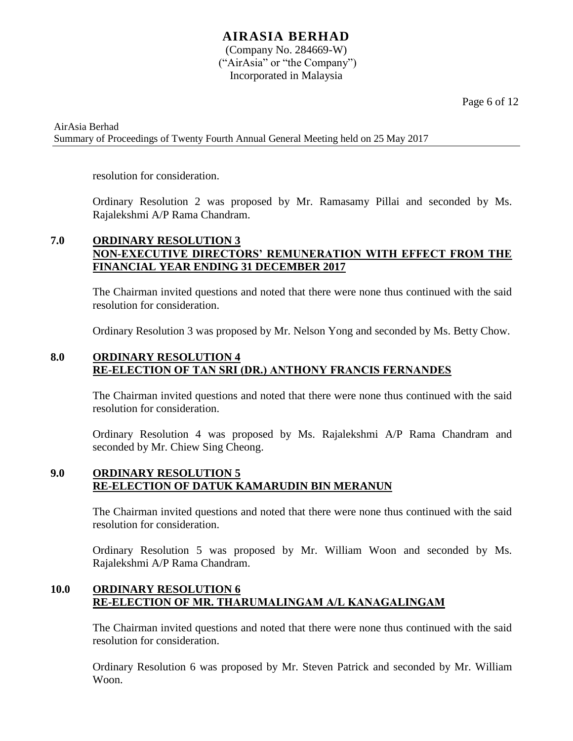Page 6 of 12

AirAsia Berhad Summary of Proceedings of Twenty Fourth Annual General Meeting held on 25 May 2017

resolution for consideration.

Ordinary Resolution 2 was proposed by Mr. Ramasamy Pillai and seconded by Ms. Rajalekshmi A/P Rama Chandram.

## **7.0 ORDINARY RESOLUTION 3 NON-EXECUTIVE DIRECTORS' REMUNERATION WITH EFFECT FROM THE FINANCIAL YEAR ENDING 31 DECEMBER 2017**

The Chairman invited questions and noted that there were none thus continued with the said resolution for consideration.

Ordinary Resolution 3 was proposed by Mr. Nelson Yong and seconded by Ms. Betty Chow.

## **8.0 ORDINARY RESOLUTION 4 RE-ELECTION OF TAN SRI (DR.) ANTHONY FRANCIS FERNANDES**

The Chairman invited questions and noted that there were none thus continued with the said resolution for consideration.

Ordinary Resolution 4 was proposed by Ms. Rajalekshmi A/P Rama Chandram and seconded by Mr. Chiew Sing Cheong.

## **9.0 ORDINARY RESOLUTION 5 RE-ELECTION OF DATUK KAMARUDIN BIN MERANUN**

The Chairman invited questions and noted that there were none thus continued with the said resolution for consideration.

Ordinary Resolution 5 was proposed by Mr. William Woon and seconded by Ms. Rajalekshmi A/P Rama Chandram.

## **10.0 ORDINARY RESOLUTION 6 RE-ELECTION OF MR. THARUMALINGAM A/L KANAGALINGAM**

The Chairman invited questions and noted that there were none thus continued with the said resolution for consideration.

Ordinary Resolution 6 was proposed by Mr. Steven Patrick and seconded by Mr. William Woon.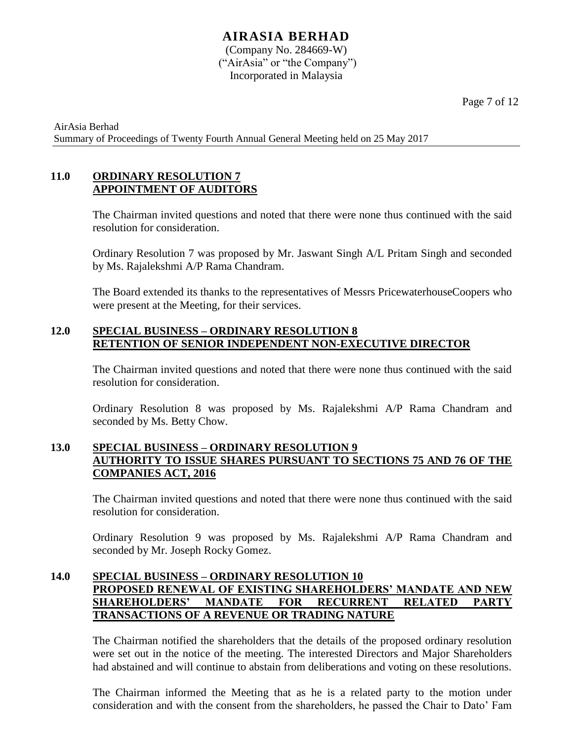AirAsia Berhad Summary of Proceedings of Twenty Fourth Annual General Meeting held on 25 May 2017

## **11.0 ORDINARY RESOLUTION 7 APPOINTMENT OF AUDITORS**

The Chairman invited questions and noted that there were none thus continued with the said resolution for consideration.

Ordinary Resolution 7 was proposed by Mr. Jaswant Singh A/L Pritam Singh and seconded by Ms. Rajalekshmi A/P Rama Chandram.

The Board extended its thanks to the representatives of Messrs PricewaterhouseCoopers who were present at the Meeting, for their services.

### **12.0 SPECIAL BUSINESS – ORDINARY RESOLUTION 8 RETENTION OF SENIOR INDEPENDENT NON-EXECUTIVE DIRECTOR**

The Chairman invited questions and noted that there were none thus continued with the said resolution for consideration.

Ordinary Resolution 8 was proposed by Ms. Rajalekshmi A/P Rama Chandram and seconded by Ms. Betty Chow.

## **13.0 SPECIAL BUSINESS – ORDINARY RESOLUTION 9 AUTHORITY TO ISSUE SHARES PURSUANT TO SECTIONS 75 AND 76 OF THE COMPANIES ACT, 2016**

The Chairman invited questions and noted that there were none thus continued with the said resolution for consideration.

Ordinary Resolution 9 was proposed by Ms. Rajalekshmi A/P Rama Chandram and seconded by Mr. Joseph Rocky Gomez.

## **14.0 SPECIAL BUSINESS – ORDINARY RESOLUTION 10 PROPOSED RENEWAL OF EXISTING SHAREHOLDERS' MANDATE AND NEW SHAREHOLDERS' MANDATE FOR RECURRENT RELATED PARTY TRANSACTIONS OF A REVENUE OR TRADING NATURE**

The Chairman notified the shareholders that the details of the proposed ordinary resolution were set out in the notice of the meeting. The interested Directors and Major Shareholders had abstained and will continue to abstain from deliberations and voting on these resolutions.

The Chairman informed the Meeting that as he is a related party to the motion under consideration and with the consent from the shareholders, he passed the Chair to Dato' Fam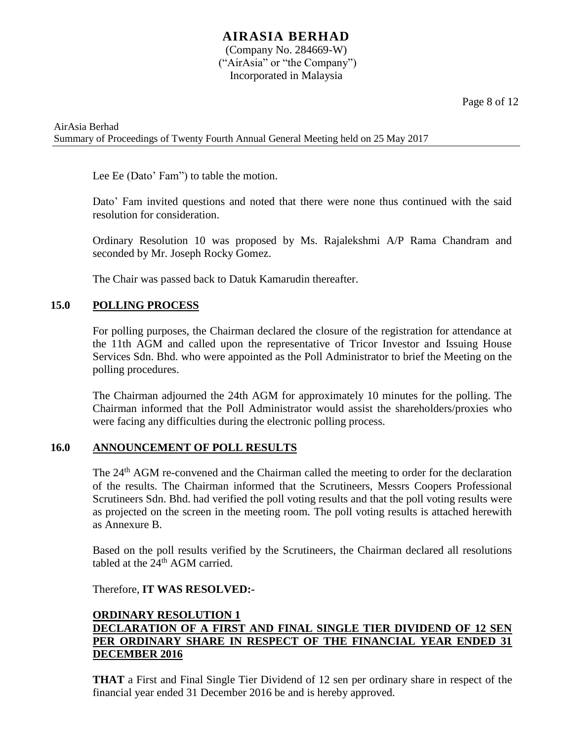Page 8 of 12

AirAsia Berhad Summary of Proceedings of Twenty Fourth Annual General Meeting held on 25 May 2017

Lee Ee (Dato' Fam") to table the motion.

Dato' Fam invited questions and noted that there were none thus continued with the said resolution for consideration.

Ordinary Resolution 10 was proposed by Ms. Rajalekshmi A/P Rama Chandram and seconded by Mr. Joseph Rocky Gomez.

The Chair was passed back to Datuk Kamarudin thereafter.

## **15.0 POLLING PROCESS**

For polling purposes, the Chairman declared the closure of the registration for attendance at the 11th AGM and called upon the representative of Tricor Investor and Issuing House Services Sdn. Bhd. who were appointed as the Poll Administrator to brief the Meeting on the polling procedures.

The Chairman adjourned the 24th AGM for approximately 10 minutes for the polling. The Chairman informed that the Poll Administrator would assist the shareholders/proxies who were facing any difficulties during the electronic polling process.

#### **16.0 ANNOUNCEMENT OF POLL RESULTS**

The 24<sup>th</sup> AGM re-convened and the Chairman called the meeting to order for the declaration of the results. The Chairman informed that the Scrutineers, Messrs Coopers Professional Scrutineers Sdn. Bhd. had verified the poll voting results and that the poll voting results were as projected on the screen in the meeting room. The poll voting results is attached herewith as Annexure B.

Based on the poll results verified by the Scrutineers, the Chairman declared all resolutions tabled at the 24<sup>th</sup> AGM carried.

#### Therefore, **IT WAS RESOLVED:-**

## **ORDINARY RESOLUTION 1 DECLARATION OF A FIRST AND FINAL SINGLE TIER DIVIDEND OF 12 SEN PER ORDINARY SHARE IN RESPECT OF THE FINANCIAL YEAR ENDED 31 DECEMBER 2016**

**THAT** a First and Final Single Tier Dividend of 12 sen per ordinary share in respect of the financial year ended 31 December 2016 be and is hereby approved.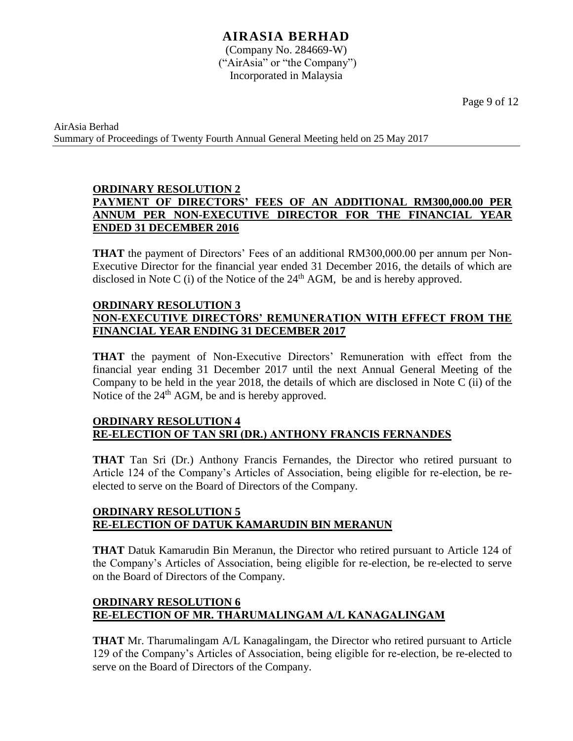## **AIRASIA BERHAD**

(Company No. 284669-W) ("AirAsia" or "the Company") Incorporated in Malaysia

Page 9 of 12

AirAsia Berhad Summary of Proceedings of Twenty Fourth Annual General Meeting held on 25 May 2017

## **ORDINARY RESOLUTION 2 PAYMENT OF DIRECTORS' FEES OF AN ADDITIONAL RM300,000.00 PER ANNUM PER NON-EXECUTIVE DIRECTOR FOR THE FINANCIAL YEAR ENDED 31 DECEMBER 2016**

**THAT** the payment of Directors' Fees of an additional RM300,000.00 per annum per Non-Executive Director for the financial year ended 31 December 2016, the details of which are disclosed in Note C (i) of the Notice of the  $24<sup>th</sup>$  AGM, be and is hereby approved.

#### **ORDINARY RESOLUTION 3 NON-EXECUTIVE DIRECTORS' REMUNERATION WITH EFFECT FROM THE FINANCIAL YEAR ENDING 31 DECEMBER 2017**

**THAT** the payment of Non-Executive Directors' Remuneration with effect from the financial year ending 31 December 2017 until the next Annual General Meeting of the Company to be held in the year 2018, the details of which are disclosed in Note C (ii) of the Notice of the 24<sup>th</sup> AGM, be and is hereby approved.

## **ORDINARY RESOLUTION 4 RE-ELECTION OF TAN SRI (DR.) ANTHONY FRANCIS FERNANDES**

**THAT** Tan Sri (Dr.) Anthony Francis Fernandes, the Director who retired pursuant to Article 124 of the Company's Articles of Association, being eligible for re-election, be reelected to serve on the Board of Directors of the Company.

## **ORDINARY RESOLUTION 5 RE-ELECTION OF DATUK KAMARUDIN BIN MERANUN**

**THAT** Datuk Kamarudin Bin Meranun, the Director who retired pursuant to Article 124 of the Company's Articles of Association, being eligible for re-election, be re-elected to serve on the Board of Directors of the Company.

## **ORDINARY RESOLUTION 6 RE-ELECTION OF MR. THARUMALINGAM A/L KANAGALINGAM**

**THAT** Mr. Tharumalingam A/L Kanagalingam, the Director who retired pursuant to Article 129 of the Company's Articles of Association, being eligible for re-election, be re-elected to serve on the Board of Directors of the Company.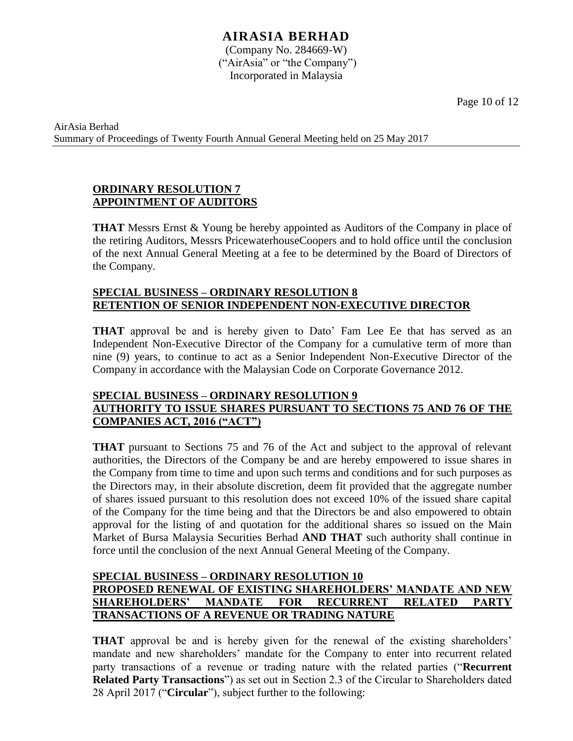Page 10 of 12

AirAsia Berhad Summary of Proceedings of Twenty Fourth Annual General Meeting held on 25 May 2017

## **ORDINARY RESOLUTION 7 APPOINTMENT OF AUDITORS**

**THAT** Messrs Ernst & Young be hereby appointed as Auditors of the Company in place of the retiring Auditors, Messrs PricewaterhouseCoopers and to hold office until the conclusion of the next Annual General Meeting at a fee to be determined by the Board of Directors of the Company.

### **SPECIAL BUSINESS – ORDINARY RESOLUTION 8 RETENTION OF SENIOR INDEPENDENT NON-EXECUTIVE DIRECTOR**

**THAT** approval be and is hereby given to Dato' Fam Lee Ee that has served as an Independent Non-Executive Director of the Company for a cumulative term of more than nine (9) years, to continue to act as a Senior Independent Non-Executive Director of the Company in accordance with the Malaysian Code on Corporate Governance 2012.

## **SPECIAL BUSINESS – ORDINARY RESOLUTION 9 AUTHORITY TO ISSUE SHARES PURSUANT TO SECTIONS 75 AND 76 OF THE COMPANIES ACT, 2016 ("ACT")**

**THAT** pursuant to Sections 75 and 76 of the Act and subject to the approval of relevant authorities, the Directors of the Company be and are hereby empowered to issue shares in the Company from time to time and upon such terms and conditions and for such purposes as the Directors may, in their absolute discretion, deem fit provided that the aggregate number of shares issued pursuant to this resolution does not exceed 10% of the issued share capital of the Company for the time being and that the Directors be and also empowered to obtain approval for the listing of and quotation for the additional shares so issued on the Main Market of Bursa Malaysia Securities Berhad **AND THAT** such authority shall continue in force until the conclusion of the next Annual General Meeting of the Company.

## **SPECIAL BUSINESS – ORDINARY RESOLUTION 10 PROPOSED RENEWAL OF EXISTING SHAREHOLDERS' MANDATE AND NEW SHAREHOLDERS' MANDATE FOR RECURRENT RELATED PARTY TRANSACTIONS OF A REVENUE OR TRADING NATURE**

**THAT** approval be and is hereby given for the renewal of the existing shareholders' mandate and new shareholders' mandate for the Company to enter into recurrent related party transactions of a revenue or trading nature with the related parties ("**Recurrent Related Party Transactions**") as set out in Section 2.3 of the Circular to Shareholders dated 28 April 2017 ("**Circular**"), subject further to the following: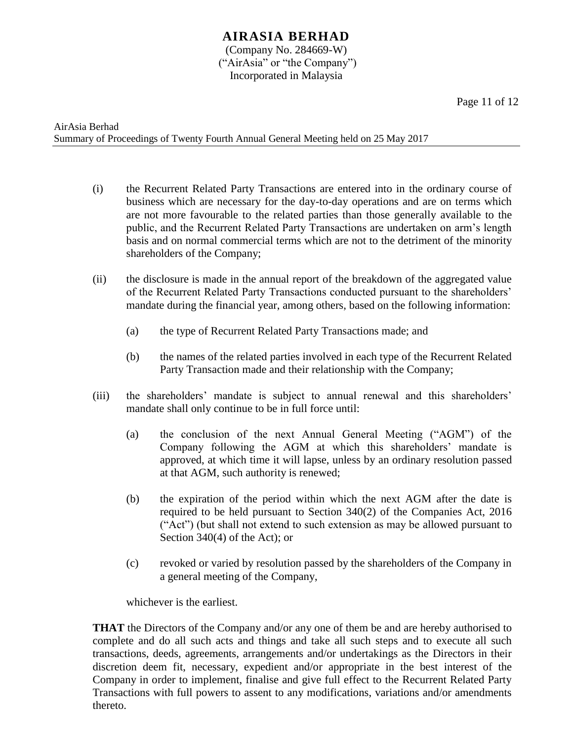Page 11 of 12

- (i) the Recurrent Related Party Transactions are entered into in the ordinary course of business which are necessary for the day-to-day operations and are on terms which are not more favourable to the related parties than those generally available to the public, and the Recurrent Related Party Transactions are undertaken on arm's length basis and on normal commercial terms which are not to the detriment of the minority shareholders of the Company;
- (ii) the disclosure is made in the annual report of the breakdown of the aggregated value of the Recurrent Related Party Transactions conducted pursuant to the shareholders' mandate during the financial year, among others, based on the following information:
	- (a) the type of Recurrent Related Party Transactions made; and
	- (b) the names of the related parties involved in each type of the Recurrent Related Party Transaction made and their relationship with the Company;
- (iii) the shareholders' mandate is subject to annual renewal and this shareholders' mandate shall only continue to be in full force until:
	- (a) the conclusion of the next Annual General Meeting ("AGM") of the Company following the AGM at which this shareholders' mandate is approved, at which time it will lapse, unless by an ordinary resolution passed at that AGM, such authority is renewed;
	- (b) the expiration of the period within which the next AGM after the date is required to be held pursuant to Section 340(2) of the Companies Act, 2016 ("Act") (but shall not extend to such extension as may be allowed pursuant to Section 340(4) of the Act); or
	- (c) revoked or varied by resolution passed by the shareholders of the Company in a general meeting of the Company,

whichever is the earliest.

**THAT** the Directors of the Company and/or any one of them be and are hereby authorised to complete and do all such acts and things and take all such steps and to execute all such transactions, deeds, agreements, arrangements and/or undertakings as the Directors in their discretion deem fit, necessary, expedient and/or appropriate in the best interest of the Company in order to implement, finalise and give full effect to the Recurrent Related Party Transactions with full powers to assent to any modifications, variations and/or amendments thereto.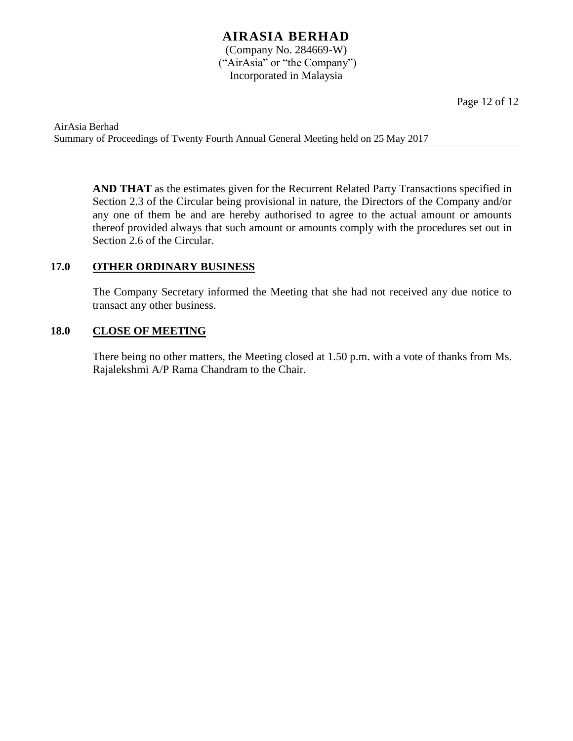Page 12 of 12

AirAsia Berhad Summary of Proceedings of Twenty Fourth Annual General Meeting held on 25 May 2017

> **AND THAT** as the estimates given for the Recurrent Related Party Transactions specified in Section 2.3 of the Circular being provisional in nature, the Directors of the Company and/or any one of them be and are hereby authorised to agree to the actual amount or amounts thereof provided always that such amount or amounts comply with the procedures set out in Section 2.6 of the Circular.

#### **17.0 OTHER ORDINARY BUSINESS**

The Company Secretary informed the Meeting that she had not received any due notice to transact any other business.

#### **18.0 CLOSE OF MEETING**

There being no other matters, the Meeting closed at 1.50 p.m. with a vote of thanks from Ms. Rajalekshmi A/P Rama Chandram to the Chair.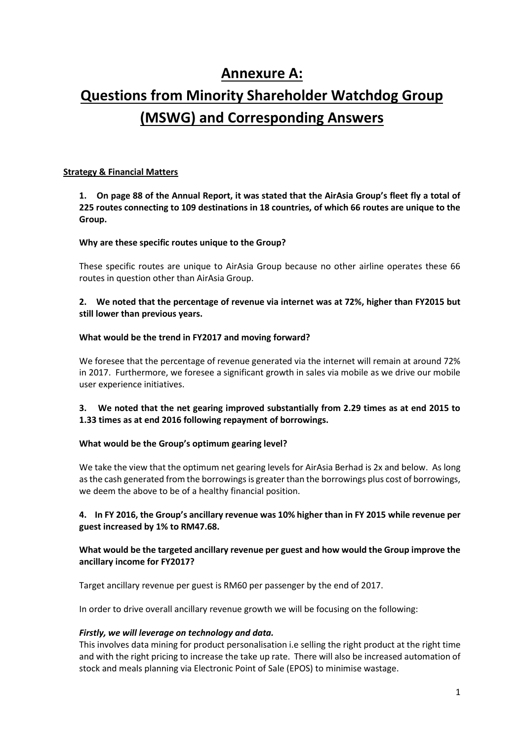# **Annexure A:**

# **Questions from Minority Shareholder Watchdog Group (MSWG) and Corresponding Answers**

#### **Strategy & Financial Matters**

**1. On page 88 of the Annual Report, it was stated that the AirAsia Group's fleet fly a total of 225 routes connecting to 109 destinations in 18 countries, of which 66 routes are unique to the Group.** 

#### **Why are these specific routes unique to the Group?**

These specific routes are unique to AirAsia Group because no other airline operates these 66 routes in question other than AirAsia Group.

#### **2. We noted that the percentage of revenue via internet was at 72%, higher than FY2015 but still lower than previous years.**

#### **What would be the trend in FY2017 and moving forward?**

We foresee that the percentage of revenue generated via the internet will remain at around 72% in 2017. Furthermore, we foresee a significant growth in sales via mobile as we drive our mobile user experience initiatives.

#### **3. We noted that the net gearing improved substantially from 2.29 times as at end 2015 to 1.33 times as at end 2016 following repayment of borrowings.**

#### **What would be the Group's optimum gearing level?**

We take the view that the optimum net gearing levels for AirAsia Berhad is 2x and below. As long as the cash generated from the borrowings is greater than the borrowings plus cost of borrowings, we deem the above to be of a healthy financial position.

#### **4. In FY 2016, the Group's ancillary revenue was 10% higher than in FY 2015 while revenue per guest increased by 1% to RM47.68.**

#### **What would be the targeted ancillary revenue per guest and how would the Group improve the ancillary income for FY2017?**

Target ancillary revenue per guest is RM60 per passenger by the end of 2017.

In order to drive overall ancillary revenue growth we will be focusing on the following:

#### *Firstly, we will leverage on technology and data.*

This involves data mining for product personalisation i.e selling the right product at the right time and with the right pricing to increase the take up rate. There will also be increased automation of stock and meals planning via Electronic Point of Sale (EPOS) to minimise wastage.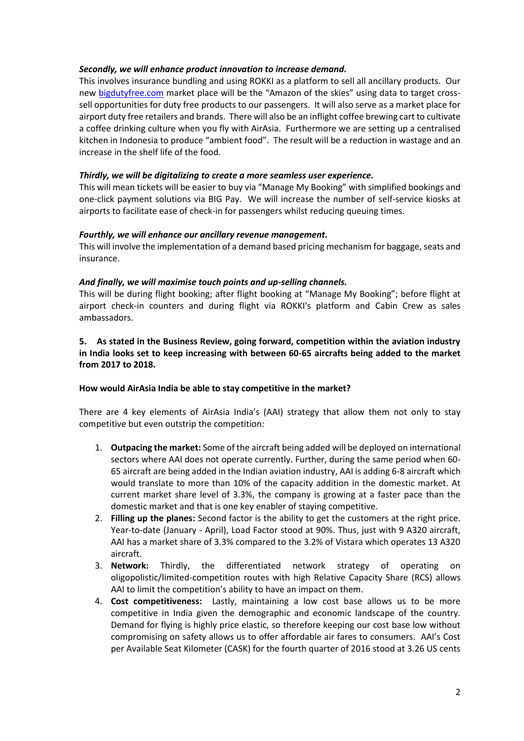#### *Secondly, we will enhance product innovation to increase demand.*

This involves insurance bundling and using ROKKI as a platform to sell all ancillary products. Our new [bigdutyfree.com](http://bigdutyfree.com/) market place will be the "Amazon of the skies" using data to target crosssell opportunities for duty free products to our passengers. It will also serve as a market place for airport duty free retailers and brands. There will also be an inflight coffee brewing cart to cultivate a coffee drinking culture when you fly with AirAsia. Furthermore we are setting up a centralised kitchen in Indonesia to produce "ambient food". The result will be a reduction in wastage and an increase in the shelf life of the food.

#### *Thirdly, we will be digitalizing to create a more seamless user experience.*

This will mean tickets will be easier to buy via "Manage My Booking" with simplified bookings and one-click payment solutions via BIG Pay. We will increase the number of self-service kiosks at airports to facilitate ease of check-in for passengers whilst reducing queuing times.

#### *Fourthly, we will enhance our ancillary revenue management.*

This will involve the implementation of a demand based pricing mechanism for baggage, seats and insurance.

#### *And finally, we will maximise touch points and up-selling channels.*

This will be during flight booking; after flight booking at "Manage My Booking"; before flight at airport check-in counters and during flight via ROKKI's platform and Cabin Crew as sales ambassadors.

#### **5. As stated in the Business Review, going forward, competition within the aviation industry in India looks set to keep increasing with between 60-65 aircrafts being added to the market from 2017 to 2018.**

#### **How would AirAsia India be able to stay competitive in the market?**

There are 4 key elements of AirAsia India's (AAI) strategy that allow them not only to stay competitive but even outstrip the competition:

- 1. **Outpacing the market:** Some of the aircraft being added will be deployed on international sectors where AAI does not operate currently. Further, during the same period when 60- 65 aircraft are being added in the Indian aviation industry, AAI is adding 6-8 aircraft which would translate to more than 10% of the capacity addition in the domestic market. At current market share level of 3.3%, the company is growing at a faster pace than the domestic market and that is one key enabler of staying competitive.
- 2. **Filling up the planes:** Second factor is the ability to get the customers at the right price. Year-to-date (January - April), Load Factor stood at 90%. Thus, just with 9 A320 aircraft, AAI has a market share of 3.3% compared to the 3.2% of Vistara which operates 13 A320 aircraft.
- 3. **Network:** Thirdly, the differentiated network strategy of operating on oligopolistic/limited-competition routes with high Relative Capacity Share (RCS) allows AAI to limit the competition's ability to have an impact on them.
- 4. **Cost competitiveness:** Lastly, maintaining a low cost base allows us to be more competitive in India given the demographic and economic landscape of the country. Demand for flying is highly price elastic, so therefore keeping our cost base low without compromising on safety allows us to offer affordable air fares to consumers. AAI's Cost per Available Seat Kilometer (CASK) for the fourth quarter of 2016 stood at 3.26 US cents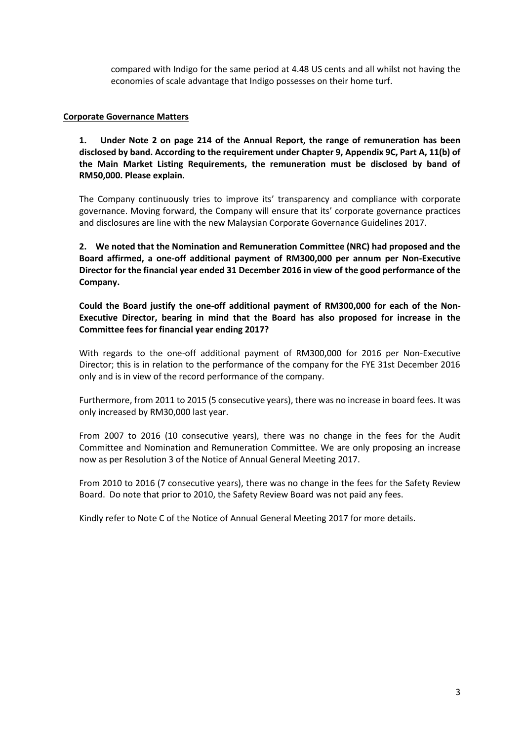compared with Indigo for the same period at 4.48 US cents and all whilst not having the economies of scale advantage that Indigo possesses on their home turf.

#### **Corporate Governance Matters**

**1. Under Note 2 on page 214 of the Annual Report, the range of remuneration has been disclosed by band. According to the requirement under Chapter 9, Appendix 9C, Part A, 11(b) of the Main Market Listing Requirements, the remuneration must be disclosed by band of RM50,000. Please explain.** 

The Company continuously tries to improve its' transparency and compliance with corporate governance. Moving forward, the Company will ensure that its' corporate governance practices and disclosures are line with the new Malaysian Corporate Governance Guidelines 2017.

**2. We noted that the Nomination and Remuneration Committee (NRC) had proposed and the Board affirmed, a one-off additional payment of RM300,000 per annum per Non-Executive Director for the financial year ended 31 December 2016 in view of the good performance of the Company.**

**Could the Board justify the one-off additional payment of RM300,000 for each of the Non-Executive Director, bearing in mind that the Board has also proposed for increase in the Committee fees for financial year ending 2017?**

With regards to the one-off additional payment of RM300,000 for 2016 per Non-Executive Director; this is in relation to the performance of the company for the FYE 31st December 2016 only and is in view of the record performance of the company.

Furthermore, from 2011 to 2015 (5 consecutive years), there was no increase in board fees. It was only increased by RM30,000 last year.

From 2007 to 2016 (10 consecutive years), there was no change in the fees for the Audit Committee and Nomination and Remuneration Committee. We are only proposing an increase now as per Resolution 3 of the Notice of Annual General Meeting 2017.

From 2010 to 2016 (7 consecutive years), there was no change in the fees for the Safety Review Board. Do note that prior to 2010, the Safety Review Board was not paid any fees.

Kindly refer to Note C of the Notice of Annual General Meeting 2017 for more details.